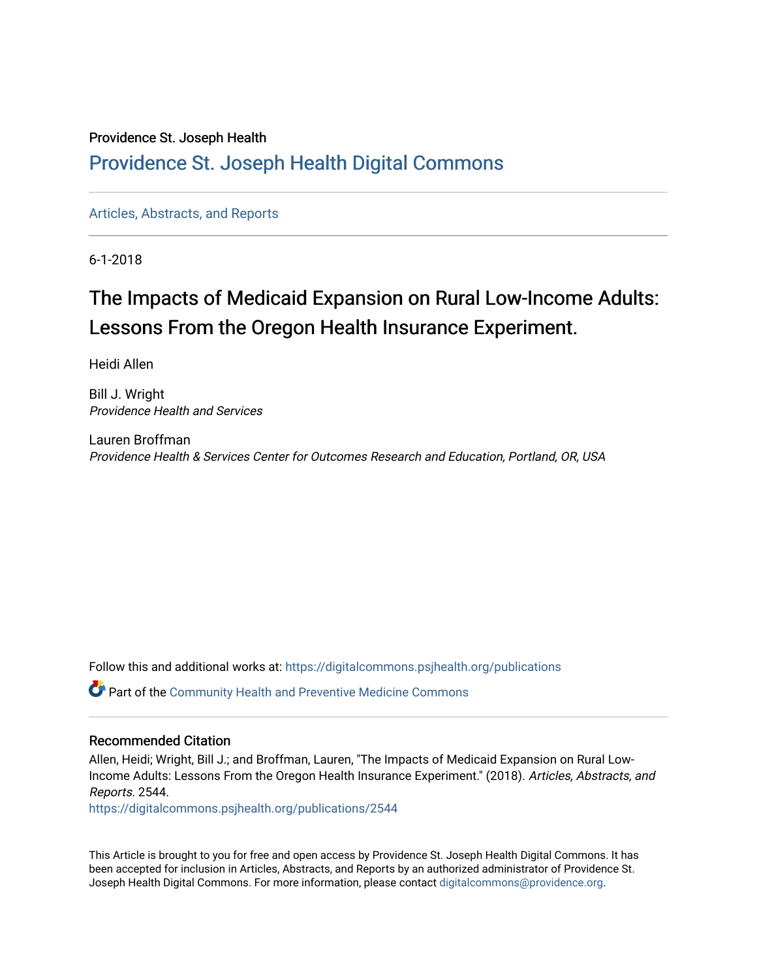#### Providence St. Joseph Health

### [Providence St. Joseph Health Digital Commons](https://digitalcommons.psjhealth.org/)

[Articles, Abstracts, and Reports](https://digitalcommons.psjhealth.org/publications) 

6-1-2018

# The Impacts of Medicaid Expansion on Rural Low-Income Adults: Lessons From the Oregon Health Insurance Experiment.

Heidi Allen

Bill J. Wright Providence Health and Services

Lauren Broffman Providence Health & Services Center for Outcomes Research and Education, Portland, OR, USA

Follow this and additional works at: [https://digitalcommons.psjhealth.org/publications](https://digitalcommons.psjhealth.org/publications?utm_source=digitalcommons.psjhealth.org%2Fpublications%2F2544&utm_medium=PDF&utm_campaign=PDFCoverPages)

Part of the [Community Health and Preventive Medicine Commons](http://network.bepress.com/hgg/discipline/744?utm_source=digitalcommons.psjhealth.org%2Fpublications%2F2544&utm_medium=PDF&utm_campaign=PDFCoverPages)

#### Recommended Citation

Allen, Heidi; Wright, Bill J.; and Broffman, Lauren, "The Impacts of Medicaid Expansion on Rural Low-Income Adults: Lessons From the Oregon Health Insurance Experiment." (2018). Articles, Abstracts, and Reports. 2544.

[https://digitalcommons.psjhealth.org/publications/2544](https://digitalcommons.psjhealth.org/publications/2544?utm_source=digitalcommons.psjhealth.org%2Fpublications%2F2544&utm_medium=PDF&utm_campaign=PDFCoverPages) 

This Article is brought to you for free and open access by Providence St. Joseph Health Digital Commons. It has been accepted for inclusion in Articles, Abstracts, and Reports by an authorized administrator of Providence St. Joseph Health Digital Commons. For more information, please contact [digitalcommons@providence.org.](mailto:digitalcommons@providence.org)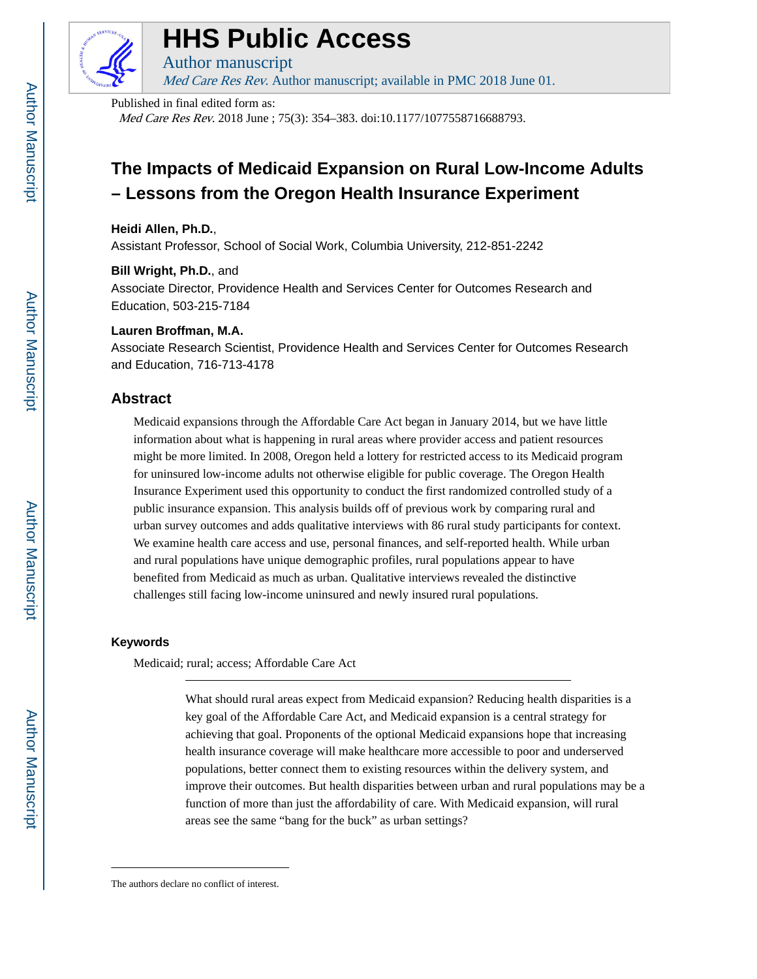

# **HHS Public Access**

Author manuscript Med Care Res Rev. Author manuscript; available in PMC 2018 June 01.

#### Published in final edited form as:

Med Care Res Rev. 2018 June ; 75(3): 354–383. doi:10.1177/1077558716688793.

## **The Impacts of Medicaid Expansion on Rural Low-Income Adults – Lessons from the Oregon Health Insurance Experiment**

#### **Heidi Allen, Ph.D.**,

Assistant Professor, School of Social Work, Columbia University, 212-851-2242

#### **Bill Wright, Ph.D.**, and

Associate Director, Providence Health and Services Center for Outcomes Research and Education, 503-215-7184

#### **Lauren Broffman, M.A.**

Associate Research Scientist, Providence Health and Services Center for Outcomes Research and Education, 716-713-4178

#### **Abstract**

Medicaid expansions through the Affordable Care Act began in January 2014, but we have little information about what is happening in rural areas where provider access and patient resources might be more limited. In 2008, Oregon held a lottery for restricted access to its Medicaid program for uninsured low-income adults not otherwise eligible for public coverage. The Oregon Health Insurance Experiment used this opportunity to conduct the first randomized controlled study of a public insurance expansion. This analysis builds off of previous work by comparing rural and urban survey outcomes and adds qualitative interviews with 86 rural study participants for context. We examine health care access and use, personal finances, and self-reported health. While urban and rural populations have unique demographic profiles, rural populations appear to have benefited from Medicaid as much as urban. Qualitative interviews revealed the distinctive challenges still facing low-income uninsured and newly insured rural populations.

#### **Keywords**

Medicaid; rural; access; Affordable Care Act

The authors declare no conflict of interest.

What should rural areas expect from Medicaid expansion? Reducing health disparities is a key goal of the Affordable Care Act, and Medicaid expansion is a central strategy for achieving that goal. Proponents of the optional Medicaid expansions hope that increasing health insurance coverage will make healthcare more accessible to poor and underserved populations, better connect them to existing resources within the delivery system, and improve their outcomes. But health disparities between urban and rural populations may be a function of more than just the affordability of care. With Medicaid expansion, will rural areas see the same "bang for the buck" as urban settings?

Author Manuscript

Author Manuscript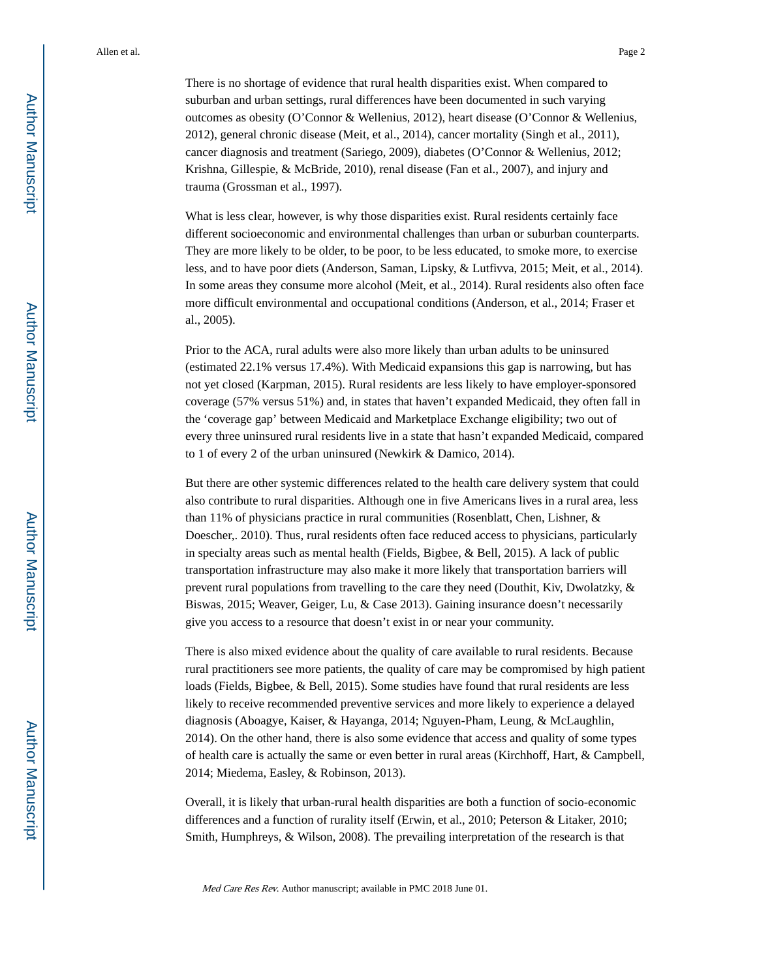There is no shortage of evidence that rural health disparities exist. When compared to suburban and urban settings, rural differences have been documented in such varying outcomes as obesity (O'Connor & Wellenius, 2012), heart disease (O'Connor & Wellenius, 2012), general chronic disease (Meit, et al., 2014), cancer mortality (Singh et al., 2011), cancer diagnosis and treatment (Sariego, 2009), diabetes (O'Connor & Wellenius, 2012; Krishna, Gillespie, & McBride, 2010), renal disease (Fan et al., 2007), and injury and trauma (Grossman et al., 1997).

What is less clear, however, is why those disparities exist. Rural residents certainly face different socioeconomic and environmental challenges than urban or suburban counterparts. They are more likely to be older, to be poor, to be less educated, to smoke more, to exercise less, and to have poor diets (Anderson, Saman, Lipsky, & Lutfivva, 2015; Meit, et al., 2014). In some areas they consume more alcohol (Meit, et al., 2014). Rural residents also often face more difficult environmental and occupational conditions (Anderson, et al., 2014; Fraser et al., 2005).

Prior to the ACA, rural adults were also more likely than urban adults to be uninsured (estimated 22.1% versus 17.4%). With Medicaid expansions this gap is narrowing, but has not yet closed (Karpman, 2015). Rural residents are less likely to have employer-sponsored coverage (57% versus 51%) and, in states that haven't expanded Medicaid, they often fall in the 'coverage gap' between Medicaid and Marketplace Exchange eligibility; two out of every three uninsured rural residents live in a state that hasn't expanded Medicaid, compared to 1 of every 2 of the urban uninsured (Newkirk & Damico, 2014).

But there are other systemic differences related to the health care delivery system that could also contribute to rural disparities. Although one in five Americans lives in a rural area, less than 11% of physicians practice in rural communities (Rosenblatt, Chen, Lishner, & Doescher,. 2010). Thus, rural residents often face reduced access to physicians, particularly in specialty areas such as mental health (Fields, Bigbee, & Bell, 2015). A lack of public transportation infrastructure may also make it more likely that transportation barriers will prevent rural populations from travelling to the care they need (Douthit, Kiv, Dwolatzky, & Biswas, 2015; Weaver, Geiger, Lu, & Case 2013). Gaining insurance doesn't necessarily give you access to a resource that doesn't exist in or near your community.

There is also mixed evidence about the quality of care available to rural residents. Because rural practitioners see more patients, the quality of care may be compromised by high patient loads (Fields, Bigbee, & Bell, 2015). Some studies have found that rural residents are less likely to receive recommended preventive services and more likely to experience a delayed diagnosis (Aboagye, Kaiser, & Hayanga, 2014; Nguyen-Pham, Leung, & McLaughlin, 2014). On the other hand, there is also some evidence that access and quality of some types of health care is actually the same or even better in rural areas (Kirchhoff, Hart, & Campbell, 2014; Miedema, Easley, & Robinson, 2013).

Overall, it is likely that urban-rural health disparities are both a function of socio-economic differences and a function of rurality itself (Erwin, et al., 2010; Peterson & Litaker, 2010; Smith, Humphreys, & Wilson, 2008). The prevailing interpretation of the research is that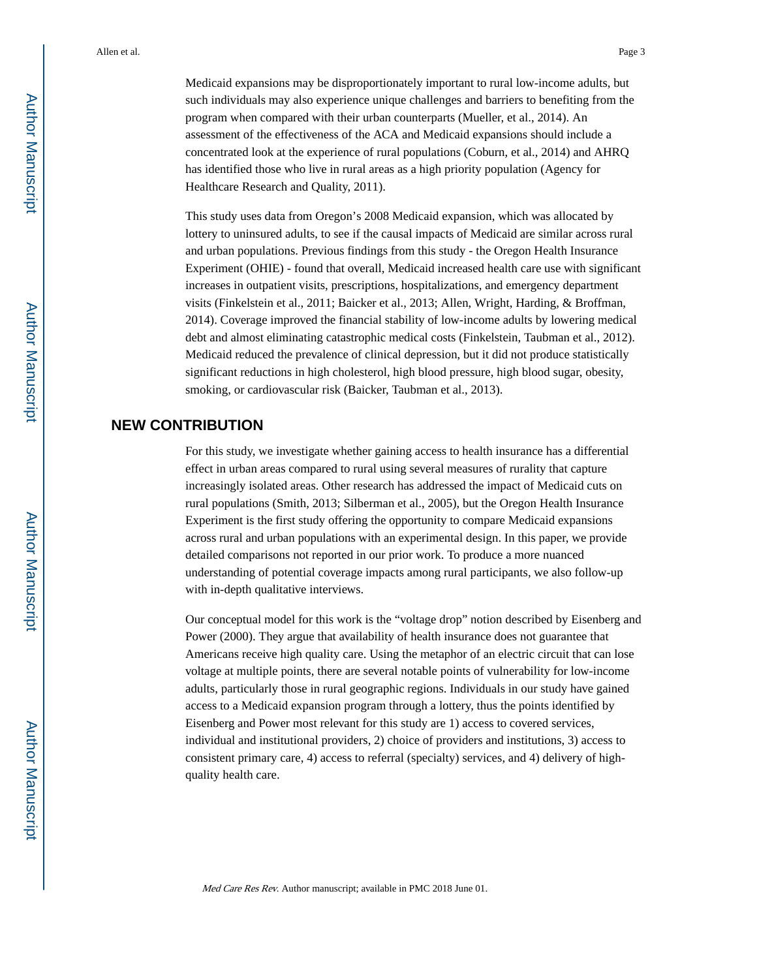Medicaid expansions may be disproportionately important to rural low-income adults, but such individuals may also experience unique challenges and barriers to benefiting from the program when compared with their urban counterparts (Mueller, et al., 2014). An assessment of the effectiveness of the ACA and Medicaid expansions should include a concentrated look at the experience of rural populations (Coburn, et al., 2014) and AHRQ has identified those who live in rural areas as a high priority population (Agency for Healthcare Research and Quality, 2011).

This study uses data from Oregon's 2008 Medicaid expansion, which was allocated by lottery to uninsured adults, to see if the causal impacts of Medicaid are similar across rural and urban populations. Previous findings from this study - the Oregon Health Insurance Experiment (OHIE) - found that overall, Medicaid increased health care use with significant increases in outpatient visits, prescriptions, hospitalizations, and emergency department visits (Finkelstein et al., 2011; Baicker et al., 2013; Allen, Wright, Harding, & Broffman, 2014). Coverage improved the financial stability of low-income adults by lowering medical debt and almost eliminating catastrophic medical costs (Finkelstein, Taubman et al., 2012). Medicaid reduced the prevalence of clinical depression, but it did not produce statistically significant reductions in high cholesterol, high blood pressure, high blood sugar, obesity, smoking, or cardiovascular risk (Baicker, Taubman et al., 2013).

#### **NEW CONTRIBUTION**

For this study, we investigate whether gaining access to health insurance has a differential effect in urban areas compared to rural using several measures of rurality that capture increasingly isolated areas. Other research has addressed the impact of Medicaid cuts on rural populations (Smith, 2013; Silberman et al., 2005), but the Oregon Health Insurance Experiment is the first study offering the opportunity to compare Medicaid expansions across rural and urban populations with an experimental design. In this paper, we provide detailed comparisons not reported in our prior work. To produce a more nuanced understanding of potential coverage impacts among rural participants, we also follow-up with in-depth qualitative interviews.

Our conceptual model for this work is the "voltage drop" notion described by Eisenberg and Power (2000). They argue that availability of health insurance does not guarantee that Americans receive high quality care. Using the metaphor of an electric circuit that can lose voltage at multiple points, there are several notable points of vulnerability for low-income adults, particularly those in rural geographic regions. Individuals in our study have gained access to a Medicaid expansion program through a lottery, thus the points identified by Eisenberg and Power most relevant for this study are 1) access to covered services, individual and institutional providers, 2) choice of providers and institutions, 3) access to consistent primary care, 4) access to referral (specialty) services, and 4) delivery of highquality health care.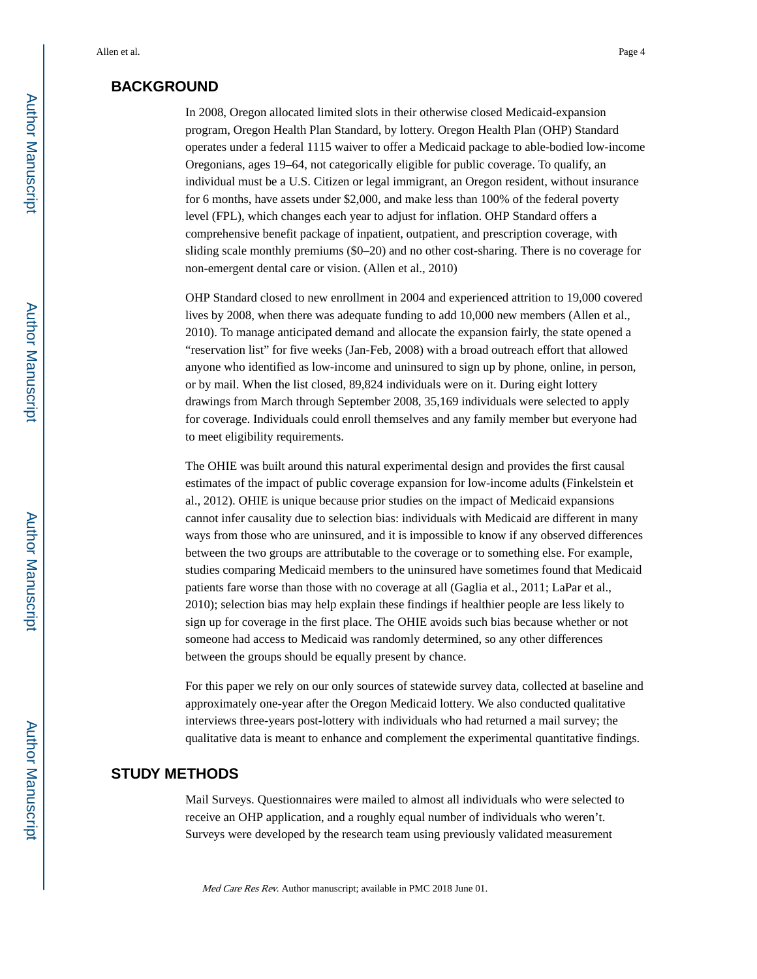#### **BACKGROUND**

In 2008, Oregon allocated limited slots in their otherwise closed Medicaid-expansion program, Oregon Health Plan Standard, by lottery. Oregon Health Plan (OHP) Standard operates under a federal 1115 waiver to offer a Medicaid package to able-bodied low-income Oregonians, ages 19–64, not categorically eligible for public coverage. To qualify, an individual must be a U.S. Citizen or legal immigrant, an Oregon resident, without insurance for 6 months, have assets under \$2,000, and make less than 100% of the federal poverty level (FPL), which changes each year to adjust for inflation. OHP Standard offers a comprehensive benefit package of inpatient, outpatient, and prescription coverage, with sliding scale monthly premiums (\$0–20) and no other cost-sharing. There is no coverage for non-emergent dental care or vision. (Allen et al., 2010)

OHP Standard closed to new enrollment in 2004 and experienced attrition to 19,000 covered lives by 2008, when there was adequate funding to add 10,000 new members (Allen et al., 2010). To manage anticipated demand and allocate the expansion fairly, the state opened a "reservation list" for five weeks (Jan-Feb, 2008) with a broad outreach effort that allowed anyone who identified as low-income and uninsured to sign up by phone, online, in person, or by mail. When the list closed, 89,824 individuals were on it. During eight lottery drawings from March through September 2008, 35,169 individuals were selected to apply for coverage. Individuals could enroll themselves and any family member but everyone had to meet eligibility requirements.

The OHIE was built around this natural experimental design and provides the first causal estimates of the impact of public coverage expansion for low-income adults (Finkelstein et al., 2012). OHIE is unique because prior studies on the impact of Medicaid expansions cannot infer causality due to selection bias: individuals with Medicaid are different in many ways from those who are uninsured, and it is impossible to know if any observed differences between the two groups are attributable to the coverage or to something else. For example, studies comparing Medicaid members to the uninsured have sometimes found that Medicaid patients fare worse than those with no coverage at all (Gaglia et al., 2011; LaPar et al., 2010); selection bias may help explain these findings if healthier people are less likely to sign up for coverage in the first place. The OHIE avoids such bias because whether or not someone had access to Medicaid was randomly determined, so any other differences between the groups should be equally present by chance.

For this paper we rely on our only sources of statewide survey data, collected at baseline and approximately one-year after the Oregon Medicaid lottery. We also conducted qualitative interviews three-years post-lottery with individuals who had returned a mail survey; the qualitative data is meant to enhance and complement the experimental quantitative findings.

#### **STUDY METHODS**

Mail Surveys. Questionnaires were mailed to almost all individuals who were selected to receive an OHP application, and a roughly equal number of individuals who weren't. Surveys were developed by the research team using previously validated measurement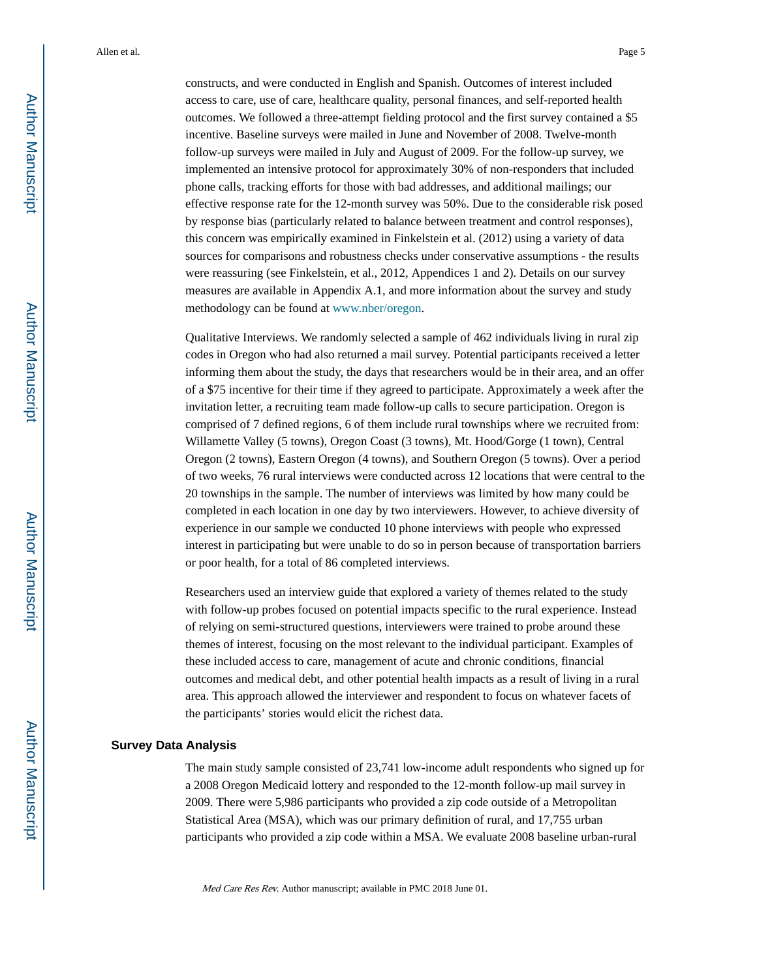constructs, and were conducted in English and Spanish. Outcomes of interest included access to care, use of care, healthcare quality, personal finances, and self-reported health outcomes. We followed a three-attempt fielding protocol and the first survey contained a \$5 incentive. Baseline surveys were mailed in June and November of 2008. Twelve-month follow-up surveys were mailed in July and August of 2009. For the follow-up survey, we implemented an intensive protocol for approximately 30% of non-responders that included phone calls, tracking efforts for those with bad addresses, and additional mailings; our effective response rate for the 12-month survey was 50%. Due to the considerable risk posed by response bias (particularly related to balance between treatment and control responses), this concern was empirically examined in Finkelstein et al. (2012) using a variety of data sources for comparisons and robustness checks under conservative assumptions - the results were reassuring (see Finkelstein, et al., 2012, Appendices 1 and 2). Details on our survey measures are available in Appendix A.1, and more information about the survey and study methodology can be found at www.nber/oregon.

Qualitative Interviews. We randomly selected a sample of 462 individuals living in rural zip codes in Oregon who had also returned a mail survey. Potential participants received a letter informing them about the study, the days that researchers would be in their area, and an offer of a \$75 incentive for their time if they agreed to participate. Approximately a week after the invitation letter, a recruiting team made follow-up calls to secure participation. Oregon is comprised of 7 defined regions, 6 of them include rural townships where we recruited from: Willamette Valley (5 towns), Oregon Coast (3 towns), Mt. Hood/Gorge (1 town), Central Oregon (2 towns), Eastern Oregon (4 towns), and Southern Oregon (5 towns). Over a period of two weeks, 76 rural interviews were conducted across 12 locations that were central to the 20 townships in the sample. The number of interviews was limited by how many could be completed in each location in one day by two interviewers. However, to achieve diversity of experience in our sample we conducted 10 phone interviews with people who expressed interest in participating but were unable to do so in person because of transportation barriers or poor health, for a total of 86 completed interviews.

Researchers used an interview guide that explored a variety of themes related to the study with follow-up probes focused on potential impacts specific to the rural experience. Instead of relying on semi-structured questions, interviewers were trained to probe around these themes of interest, focusing on the most relevant to the individual participant. Examples of these included access to care, management of acute and chronic conditions, financial outcomes and medical debt, and other potential health impacts as a result of living in a rural area. This approach allowed the interviewer and respondent to focus on whatever facets of the participants' stories would elicit the richest data.

#### **Survey Data Analysis**

The main study sample consisted of 23,741 low-income adult respondents who signed up for a 2008 Oregon Medicaid lottery and responded to the 12-month follow-up mail survey in 2009. There were 5,986 participants who provided a zip code outside of a Metropolitan Statistical Area (MSA), which was our primary definition of rural, and 17,755 urban participants who provided a zip code within a MSA. We evaluate 2008 baseline urban-rural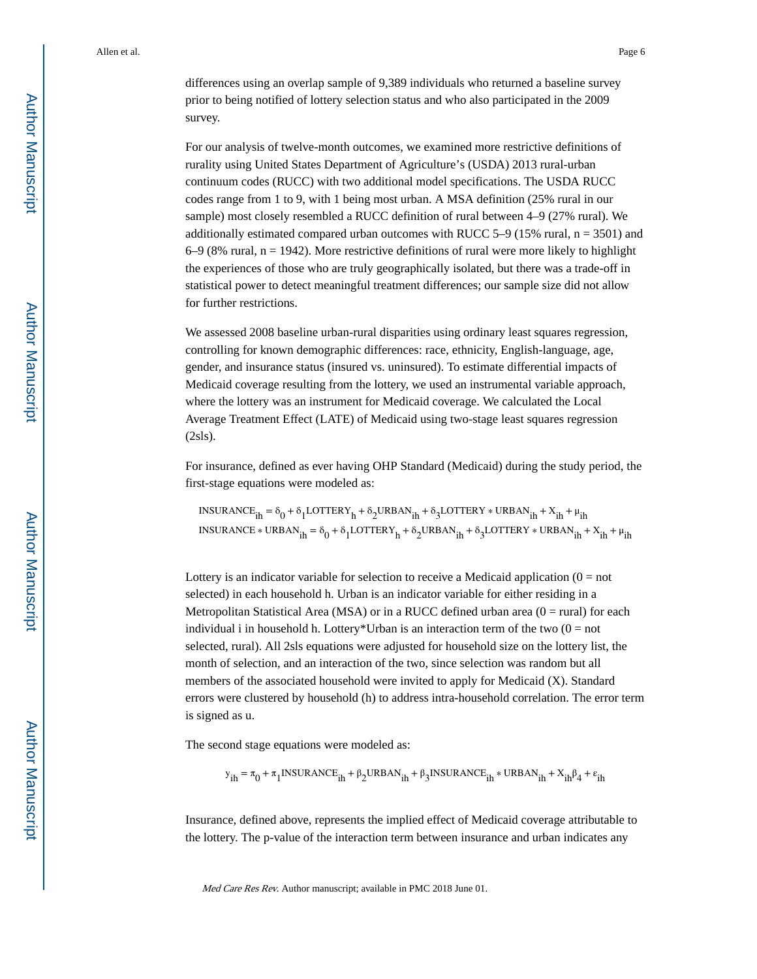differences using an overlap sample of 9,389 individuals who returned a baseline survey prior to being notified of lottery selection status and who also participated in the 2009 survey.

For our analysis of twelve-month outcomes, we examined more restrictive definitions of rurality using United States Department of Agriculture's (USDA) 2013 rural-urban continuum codes (RUCC) with two additional model specifications. The USDA RUCC codes range from 1 to 9, with 1 being most urban. A MSA definition (25% rural in our sample) most closely resembled a RUCC definition of rural between 4–9 (27% rural). We additionally estimated compared urban outcomes with RUCC  $5-9$  (15% rural, n = 3501) and  $6-9$  (8% rural,  $n = 1942$ ). More restrictive definitions of rural were more likely to highlight the experiences of those who are truly geographically isolated, but there was a trade-off in statistical power to detect meaningful treatment differences; our sample size did not allow for further restrictions.

We assessed 2008 baseline urban-rural disparities using ordinary least squares regression, controlling for known demographic differences: race, ethnicity, English-language, age, gender, and insurance status (insured vs. uninsured). To estimate differential impacts of Medicaid coverage resulting from the lottery, we used an instrumental variable approach, where the lottery was an instrument for Medicaid coverage. We calculated the Local Average Treatment Effect (LATE) of Medicaid using two-stage least squares regression (2sls).

For insurance, defined as ever having OHP Standard (Medicaid) during the study period, the first-stage equations were modeled as:

INSURANCE<sub>ih</sub> =  $\delta_0 + \delta_1$ LOTTERY<sub>h</sub> +  $\delta_2$ URBAN<sub>ih</sub> +  $\delta_3$ LOTTERY \* URBAN<sub>ih</sub> +  $X_{ih}$  +  $\mu_{ih}$ INSURANCE \* URBAN<sub>ih</sub> =  $\delta_0 + \delta_1$ LOTTERY<sub>h</sub> +  $\delta_2$ URBAN<sub>ih</sub> +  $\delta_3$ LOTTERY \* URBAN<sub>ih</sub> + X<sub>ih</sub> +  $\mu$ <sub>ih</sub>

Lottery is an indicator variable for selection to receive a Medicaid application  $(0 = not$ selected) in each household h. Urban is an indicator variable for either residing in a Metropolitan Statistical Area (MSA) or in a RUCC defined urban area ( $0 = \text{rural}$ ) for each individual i in household h. Lottery\*Urban is an interaction term of the two  $(0 = not$ selected, rural). All 2sls equations were adjusted for household size on the lottery list, the month of selection, and an interaction of the two, since selection was random but all members of the associated household were invited to apply for Medicaid (X). Standard errors were clustered by household (h) to address intra-household correlation. The error term is signed as u.

The second stage equations were modeled as:

 $y_{ih} = \pi_0 + \pi_1 IN SURANCE_{ih} + \beta_2 URBAN_{ih} + \beta_3 IN SURANCE_{ih} * URBAN_{ih} + X_{ih}\beta_4 + \varepsilon_{ih}$ 

Insurance, defined above, represents the implied effect of Medicaid coverage attributable to the lottery. The p-value of the interaction term between insurance and urban indicates any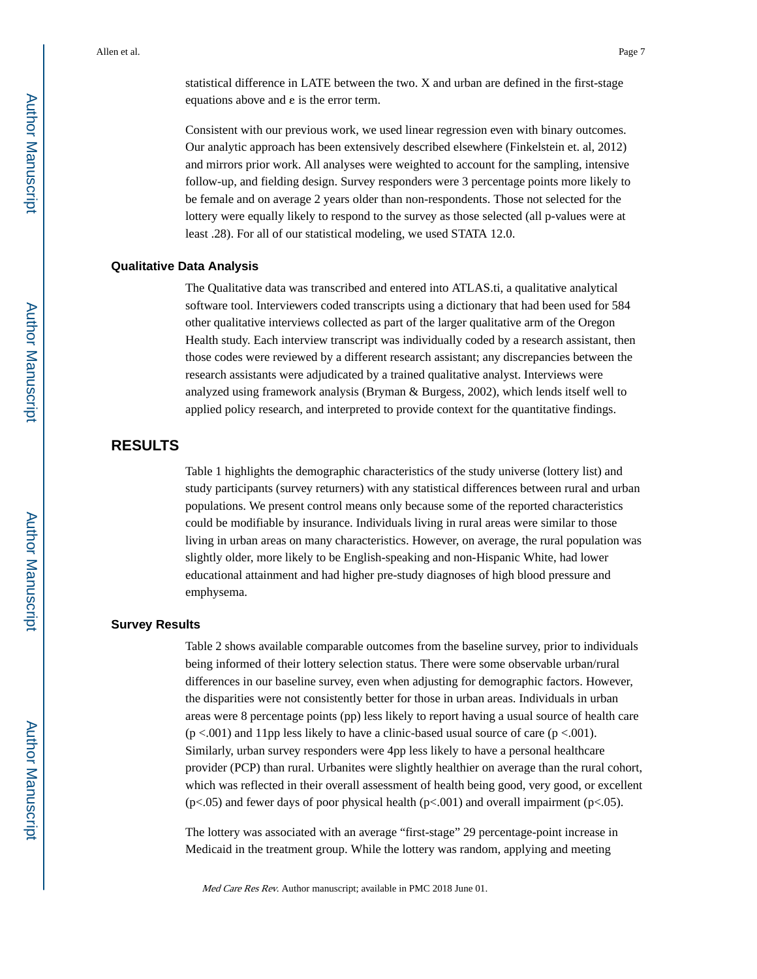statistical difference in LATE between the two. X and urban are defined in the first-stage equations above and ε is the error term.

Consistent with our previous work, we used linear regression even with binary outcomes. Our analytic approach has been extensively described elsewhere (Finkelstein et. al, 2012) and mirrors prior work. All analyses were weighted to account for the sampling, intensive follow-up, and fielding design. Survey responders were 3 percentage points more likely to be female and on average 2 years older than non-respondents. Those not selected for the lottery were equally likely to respond to the survey as those selected (all p-values were at least .28). For all of our statistical modeling, we used STATA 12.0.

#### **Qualitative Data Analysis**

The Qualitative data was transcribed and entered into ATLAS.ti, a qualitative analytical software tool. Interviewers coded transcripts using a dictionary that had been used for 584 other qualitative interviews collected as part of the larger qualitative arm of the Oregon Health study. Each interview transcript was individually coded by a research assistant, then those codes were reviewed by a different research assistant; any discrepancies between the research assistants were adjudicated by a trained qualitative analyst. Interviews were analyzed using framework analysis (Bryman & Burgess, 2002), which lends itself well to applied policy research, and interpreted to provide context for the quantitative findings.

#### **RESULTS**

Table 1 highlights the demographic characteristics of the study universe (lottery list) and study participants (survey returners) with any statistical differences between rural and urban populations. We present control means only because some of the reported characteristics could be modifiable by insurance. Individuals living in rural areas were similar to those living in urban areas on many characteristics. However, on average, the rural population was slightly older, more likely to be English-speaking and non-Hispanic White, had lower educational attainment and had higher pre-study diagnoses of high blood pressure and emphysema.

#### **Survey Results**

Table 2 shows available comparable outcomes from the baseline survey, prior to individuals being informed of their lottery selection status. There were some observable urban/rural differences in our baseline survey, even when adjusting for demographic factors. However, the disparities were not consistently better for those in urban areas. Individuals in urban areas were 8 percentage points (pp) less likely to report having a usual source of health care  $(p < .001)$  and 11pp less likely to have a clinic-based usual source of care  $(p < .001)$ . Similarly, urban survey responders were 4pp less likely to have a personal healthcare provider (PCP) than rural. Urbanites were slightly healthier on average than the rural cohort, which was reflected in their overall assessment of health being good, very good, or excellent (p<.05) and fewer days of poor physical health (p<.001) and overall impairment (p<.05).

The lottery was associated with an average "first-stage" 29 percentage-point increase in Medicaid in the treatment group. While the lottery was random, applying and meeting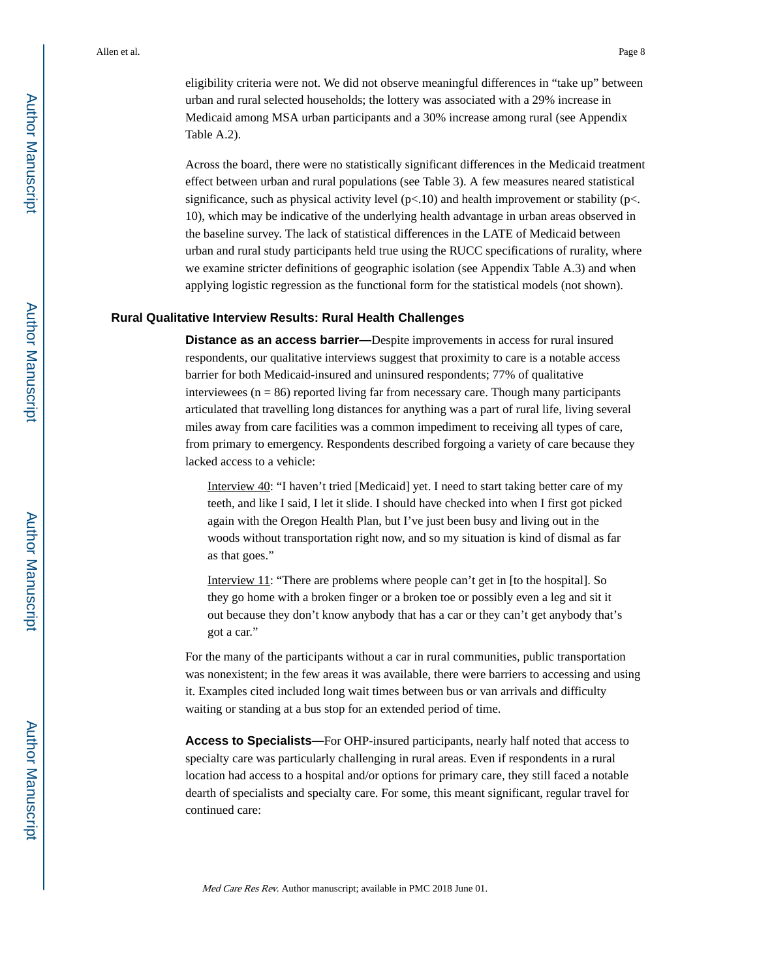eligibility criteria were not. We did not observe meaningful differences in "take up" between urban and rural selected households; the lottery was associated with a 29% increase in Medicaid among MSA urban participants and a 30% increase among rural (see Appendix Table A.2).

Across the board, there were no statistically significant differences in the Medicaid treatment effect between urban and rural populations (see Table 3). A few measures neared statistical significance, such as physical activity level  $(p<.10)$  and health improvement or stability  $(p<.10)$ 10), which may be indicative of the underlying health advantage in urban areas observed in the baseline survey. The lack of statistical differences in the LATE of Medicaid between urban and rural study participants held true using the RUCC specifications of rurality, where we examine stricter definitions of geographic isolation (see Appendix Table A.3) and when applying logistic regression as the functional form for the statistical models (not shown).

#### **Rural Qualitative Interview Results: Rural Health Challenges**

**Distance as an access barrier—**Despite improvements in access for rural insured respondents, our qualitative interviews suggest that proximity to care is a notable access barrier for both Medicaid-insured and uninsured respondents; 77% of qualitative interviewees ( $n = 86$ ) reported living far from necessary care. Though many participants articulated that travelling long distances for anything was a part of rural life, living several miles away from care facilities was a common impediment to receiving all types of care, from primary to emergency. Respondents described forgoing a variety of care because they lacked access to a vehicle:

Interview 40: "I haven't tried [Medicaid] yet. I need to start taking better care of my teeth, and like I said, I let it slide. I should have checked into when I first got picked again with the Oregon Health Plan, but I've just been busy and living out in the woods without transportation right now, and so my situation is kind of dismal as far as that goes."

Interview 11: "There are problems where people can't get in [to the hospital]. So they go home with a broken finger or a broken toe or possibly even a leg and sit it out because they don't know anybody that has a car or they can't get anybody that's got a car."

For the many of the participants without a car in rural communities, public transportation was nonexistent; in the few areas it was available, there were barriers to accessing and using it. Examples cited included long wait times between bus or van arrivals and difficulty waiting or standing at a bus stop for an extended period of time.

**Access to Specialists—**For OHP-insured participants, nearly half noted that access to specialty care was particularly challenging in rural areas. Even if respondents in a rural location had access to a hospital and/or options for primary care, they still faced a notable dearth of specialists and specialty care. For some, this meant significant, regular travel for continued care: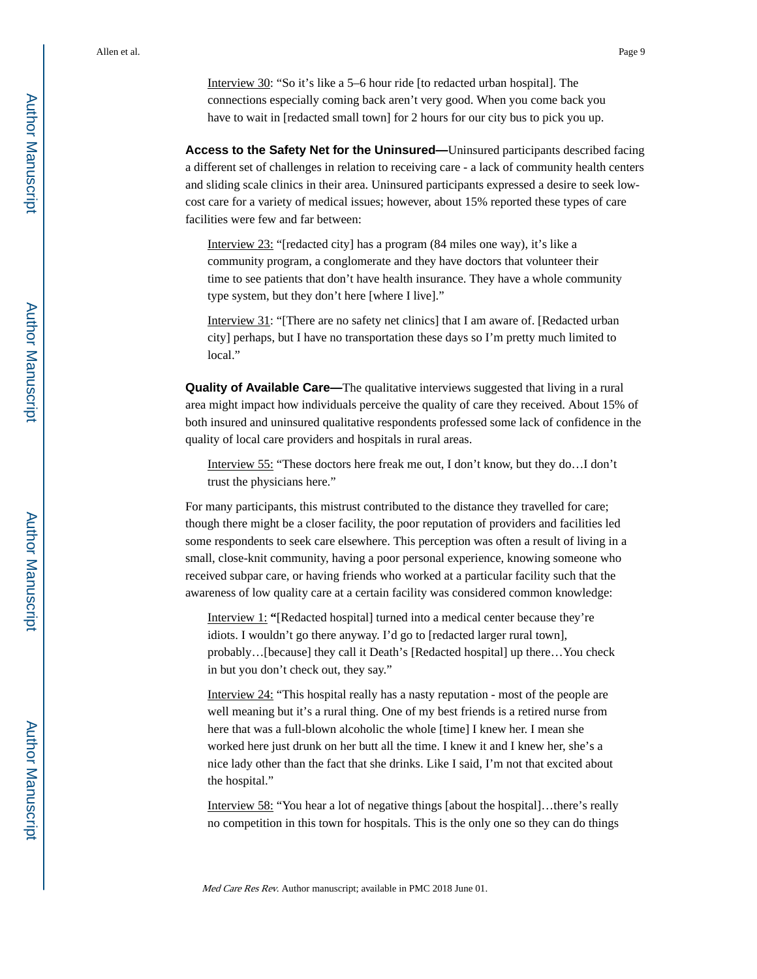Interview 30: "So it's like a 5–6 hour ride [to redacted urban hospital]. The connections especially coming back aren't very good. When you come back you have to wait in [redacted small town] for 2 hours for our city bus to pick you up.

**Access to the Safety Net for the Uninsured—**Uninsured participants described facing a different set of challenges in relation to receiving care - a lack of community health centers and sliding scale clinics in their area. Uninsured participants expressed a desire to seek lowcost care for a variety of medical issues; however, about 15% reported these types of care facilities were few and far between:

Interview 23: "[redacted city] has a program (84 miles one way), it's like a community program, a conglomerate and they have doctors that volunteer their time to see patients that don't have health insurance. They have a whole community type system, but they don't here [where I live]."

Interview 31: "[There are no safety net clinics] that I am aware of. [Redacted urban city] perhaps, but I have no transportation these days so I'm pretty much limited to local."

**Quality of Available Care—**The qualitative interviews suggested that living in a rural area might impact how individuals perceive the quality of care they received. About 15% of both insured and uninsured qualitative respondents professed some lack of confidence in the quality of local care providers and hospitals in rural areas.

Interview 55: "These doctors here freak me out, I don't know, but they do…I don't trust the physicians here."

For many participants, this mistrust contributed to the distance they travelled for care; though there might be a closer facility, the poor reputation of providers and facilities led some respondents to seek care elsewhere. This perception was often a result of living in a small, close-knit community, having a poor personal experience, knowing someone who received subpar care, or having friends who worked at a particular facility such that the awareness of low quality care at a certain facility was considered common knowledge:

Interview 1: **"**[Redacted hospital] turned into a medical center because they're idiots. I wouldn't go there anyway. I'd go to [redacted larger rural town], probably…[because] they call it Death's [Redacted hospital] up there…You check in but you don't check out, they say."

Interview 24: "This hospital really has a nasty reputation - most of the people are well meaning but it's a rural thing. One of my best friends is a retired nurse from here that was a full-blown alcoholic the whole [time] I knew her. I mean she worked here just drunk on her butt all the time. I knew it and I knew her, she's a nice lady other than the fact that she drinks. Like I said, I'm not that excited about the hospital."

Interview 58: "You hear a lot of negative things [about the hospital]…there's really no competition in this town for hospitals. This is the only one so they can do things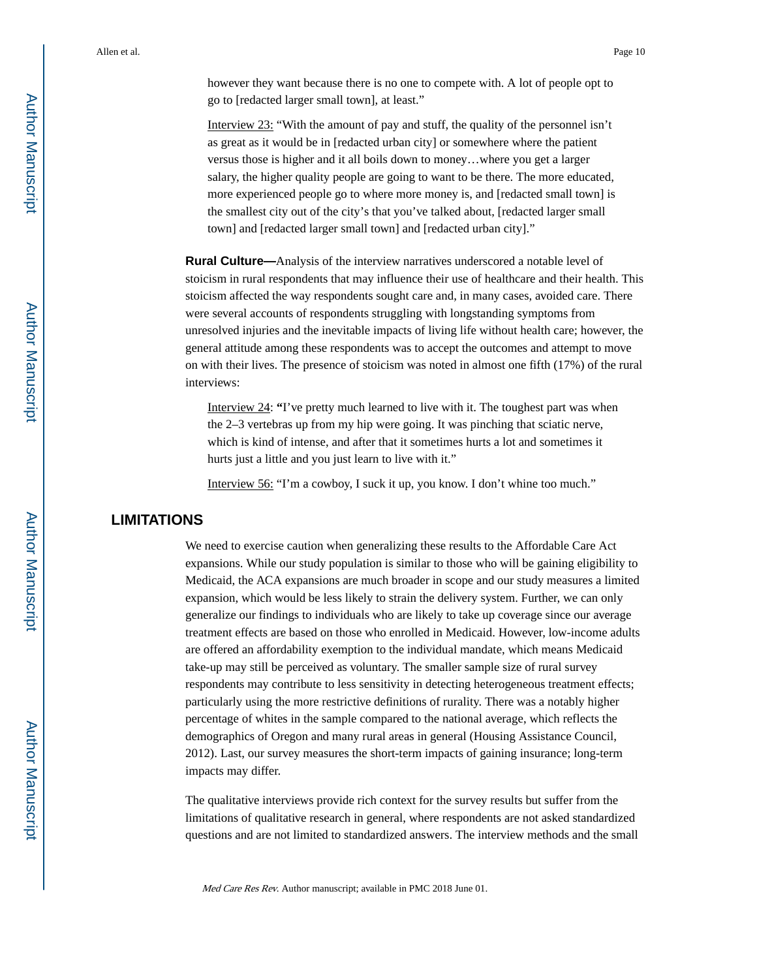however they want because there is no one to compete with. A lot of people opt to go to [redacted larger small town], at least."

Interview 23: "With the amount of pay and stuff, the quality of the personnel isn't as great as it would be in [redacted urban city] or somewhere where the patient versus those is higher and it all boils down to money…where you get a larger salary, the higher quality people are going to want to be there. The more educated, more experienced people go to where more money is, and [redacted small town] is the smallest city out of the city's that you've talked about, [redacted larger small town] and [redacted larger small town] and [redacted urban city]."

**Rural Culture—**Analysis of the interview narratives underscored a notable level of stoicism in rural respondents that may influence their use of healthcare and their health. This stoicism affected the way respondents sought care and, in many cases, avoided care. There were several accounts of respondents struggling with longstanding symptoms from unresolved injuries and the inevitable impacts of living life without health care; however, the general attitude among these respondents was to accept the outcomes and attempt to move on with their lives. The presence of stoicism was noted in almost one fifth (17%) of the rural interviews:

Interview 24: **"**I've pretty much learned to live with it. The toughest part was when the 2–3 vertebras up from my hip were going. It was pinching that sciatic nerve, which is kind of intense, and after that it sometimes hurts a lot and sometimes it hurts just a little and you just learn to live with it."

Interview 56: "I'm a cowboy, I suck it up, you know. I don't whine too much."

#### **LIMITATIONS**

We need to exercise caution when generalizing these results to the Affordable Care Act expansions. While our study population is similar to those who will be gaining eligibility to Medicaid, the ACA expansions are much broader in scope and our study measures a limited expansion, which would be less likely to strain the delivery system. Further, we can only generalize our findings to individuals who are likely to take up coverage since our average treatment effects are based on those who enrolled in Medicaid. However, low-income adults are offered an affordability exemption to the individual mandate, which means Medicaid take-up may still be perceived as voluntary. The smaller sample size of rural survey respondents may contribute to less sensitivity in detecting heterogeneous treatment effects; particularly using the more restrictive definitions of rurality. There was a notably higher percentage of whites in the sample compared to the national average, which reflects the demographics of Oregon and many rural areas in general (Housing Assistance Council, 2012). Last, our survey measures the short-term impacts of gaining insurance; long-term impacts may differ.

The qualitative interviews provide rich context for the survey results but suffer from the limitations of qualitative research in general, where respondents are not asked standardized questions and are not limited to standardized answers. The interview methods and the small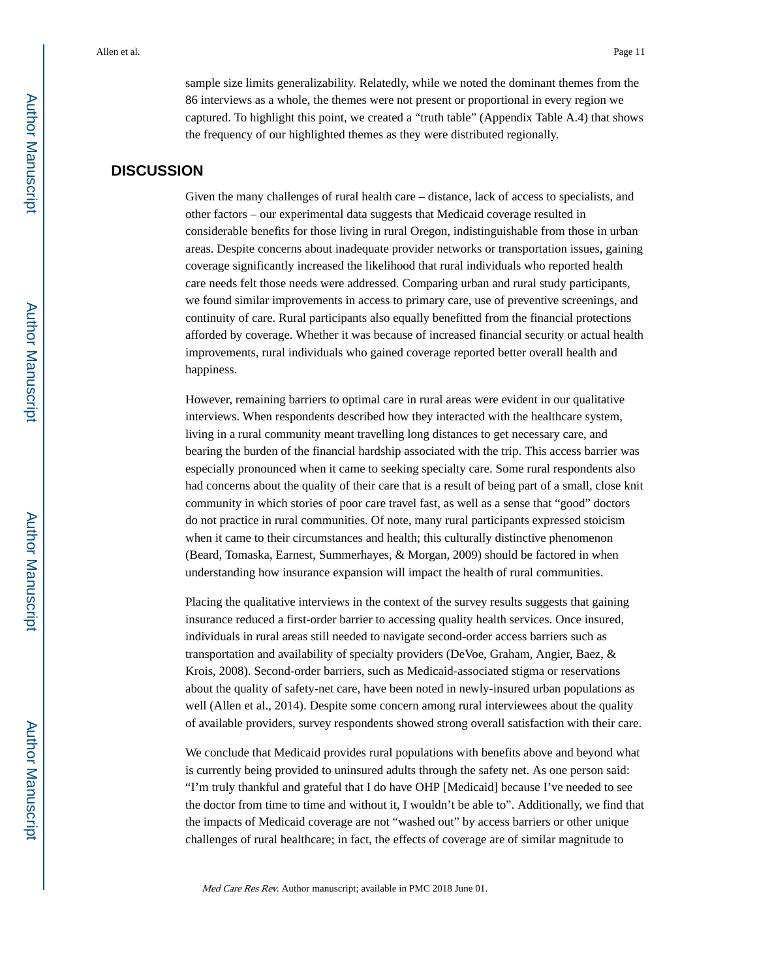sample size limits generalizability. Relatedly, while we noted the dominant themes from the 86 interviews as a whole, the themes were not present or proportional in every region we captured. To highlight this point, we created a "truth table" (Appendix Table A.4) that shows the frequency of our highlighted themes as they were distributed regionally.

#### **DISCUSSION**

Given the many challenges of rural health care – distance, lack of access to specialists, and other factors – our experimental data suggests that Medicaid coverage resulted in considerable benefits for those living in rural Oregon, indistinguishable from those in urban areas. Despite concerns about inadequate provider networks or transportation issues, gaining coverage significantly increased the likelihood that rural individuals who reported health care needs felt those needs were addressed. Comparing urban and rural study participants, we found similar improvements in access to primary care, use of preventive screenings, and continuity of care. Rural participants also equally benefitted from the financial protections afforded by coverage. Whether it was because of increased financial security or actual health improvements, rural individuals who gained coverage reported better overall health and happiness.

However, remaining barriers to optimal care in rural areas were evident in our qualitative interviews. When respondents described how they interacted with the healthcare system, living in a rural community meant travelling long distances to get necessary care, and bearing the burden of the financial hardship associated with the trip. This access barrier was especially pronounced when it came to seeking specialty care. Some rural respondents also had concerns about the quality of their care that is a result of being part of a small, close knit community in which stories of poor care travel fast, as well as a sense that "good" doctors do not practice in rural communities. Of note, many rural participants expressed stoicism when it came to their circumstances and health; this culturally distinctive phenomenon (Beard, Tomaska, Earnest, Summerhayes, & Morgan, 2009) should be factored in when understanding how insurance expansion will impact the health of rural communities.

Placing the qualitative interviews in the context of the survey results suggests that gaining insurance reduced a first-order barrier to accessing quality health services. Once insured, individuals in rural areas still needed to navigate second-order access barriers such as transportation and availability of specialty providers (DeVoe, Graham, Angier, Baez, & Krois, 2008). Second-order barriers, such as Medicaid-associated stigma or reservations about the quality of safety-net care, have been noted in newly-insured urban populations as well (Allen et al., 2014). Despite some concern among rural interviewees about the quality of available providers, survey respondents showed strong overall satisfaction with their care.

We conclude that Medicaid provides rural populations with benefits above and beyond what is currently being provided to uninsured adults through the safety net. As one person said: "I'm truly thankful and grateful that I do have OHP [Medicaid] because I've needed to see the doctor from time to time and without it, I wouldn't be able to". Additionally, we find that the impacts of Medicaid coverage are not "washed out" by access barriers or other unique challenges of rural healthcare; in fact, the effects of coverage are of similar magnitude to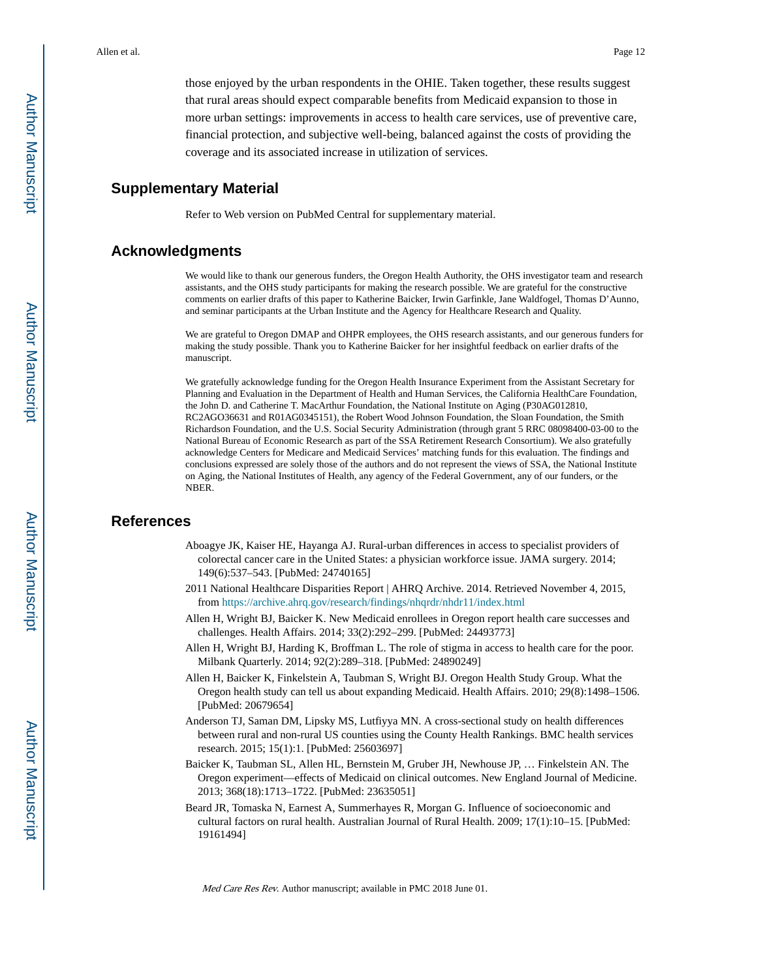those enjoyed by the urban respondents in the OHIE. Taken together, these results suggest that rural areas should expect comparable benefits from Medicaid expansion to those in more urban settings: improvements in access to health care services, use of preventive care, financial protection, and subjective well-being, balanced against the costs of providing the coverage and its associated increase in utilization of services.

#### **Supplementary Material**

Refer to Web version on PubMed Central for supplementary material.

#### **Acknowledgments**

We would like to thank our generous funders, the Oregon Health Authority, the OHS investigator team and research assistants, and the OHS study participants for making the research possible. We are grateful for the constructive comments on earlier drafts of this paper to Katherine Baicker, Irwin Garfinkle, Jane Waldfogel, Thomas D'Aunno, and seminar participants at the Urban Institute and the Agency for Healthcare Research and Quality.

We are grateful to Oregon DMAP and OHPR employees, the OHS research assistants, and our generous funders for making the study possible. Thank you to Katherine Baicker for her insightful feedback on earlier drafts of the manuscript.

We gratefully acknowledge funding for the Oregon Health Insurance Experiment from the Assistant Secretary for Planning and Evaluation in the Department of Health and Human Services, the California HealthCare Foundation, the John D. and Catherine T. MacArthur Foundation, the National Institute on Aging (P30AG012810, RC2AGO36631 and R01AG0345151), the Robert Wood Johnson Foundation, the Sloan Foundation, the Smith Richardson Foundation, and the U.S. Social Security Administration (through grant 5 RRC 08098400-03-00 to the National Bureau of Economic Research as part of the SSA Retirement Research Consortium). We also gratefully acknowledge Centers for Medicare and Medicaid Services' matching funds for this evaluation. The findings and conclusions expressed are solely those of the authors and do not represent the views of SSA, the National Institute on Aging, the National Institutes of Health, any agency of the Federal Government, any of our funders, or the NBER.

#### **References**

- Aboagye JK, Kaiser HE, Hayanga AJ. Rural-urban differences in access to specialist providers of colorectal cancer care in the United States: a physician workforce issue. JAMA surgery. 2014; 149(6):537–543. [PubMed: 24740165]
- 2011 National Healthcare Disparities Report | AHRQ Archive. 2014. Retrieved November 4, 2015, from <https://archive.ahrq.gov/research/findings/nhqrdr/nhdr11/index.html>
- Allen H, Wright BJ, Baicker K. New Medicaid enrollees in Oregon report health care successes and challenges. Health Affairs. 2014; 33(2):292–299. [PubMed: 24493773]
- Allen H, Wright BJ, Harding K, Broffman L. The role of stigma in access to health care for the poor. Milbank Quarterly. 2014; 92(2):289–318. [PubMed: 24890249]
- Allen H, Baicker K, Finkelstein A, Taubman S, Wright BJ. Oregon Health Study Group. What the Oregon health study can tell us about expanding Medicaid. Health Affairs. 2010; 29(8):1498–1506. [PubMed: 20679654]
- Anderson TJ, Saman DM, Lipsky MS, Lutfiyya MN. A cross-sectional study on health differences between rural and non-rural US counties using the County Health Rankings. BMC health services research. 2015; 15(1):1. [PubMed: 25603697]
- Baicker K, Taubman SL, Allen HL, Bernstein M, Gruber JH, Newhouse JP, … Finkelstein AN. The Oregon experiment—effects of Medicaid on clinical outcomes. New England Journal of Medicine. 2013; 368(18):1713–1722. [PubMed: 23635051]
- Beard JR, Tomaska N, Earnest A, Summerhayes R, Morgan G. Influence of socioeconomic and cultural factors on rural health. Australian Journal of Rural Health. 2009; 17(1):10–15. [PubMed: 19161494]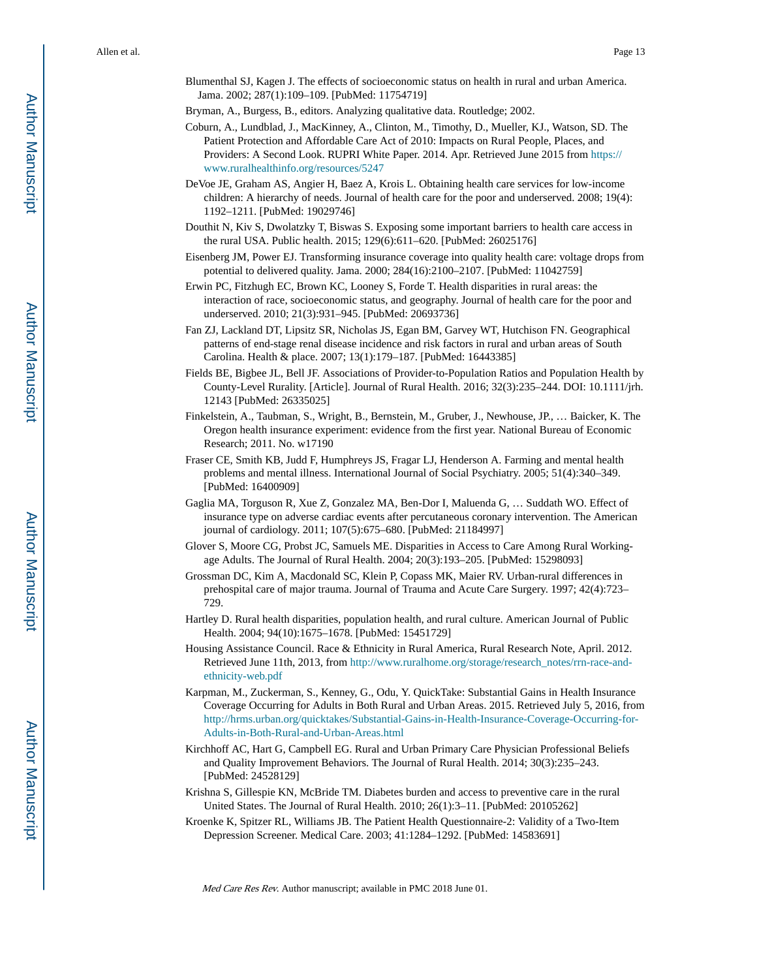Blumenthal SJ, Kagen J. The effects of socioeconomic status on health in rural and urban America. Jama. 2002; 287(1):109–109. [PubMed: 11754719]

Bryman, A., Burgess, B., editors. Analyzing qualitative data. Routledge; 2002.

- Coburn, A., Lundblad, J., MacKinney, A., Clinton, M., Timothy, D., Mueller, KJ., Watson, SD. The Patient Protection and Affordable Care Act of 2010: Impacts on Rural People, Places, and Providers: A Second Look. RUPRI White Paper. 2014. Apr. Retrieved June 2015 from [https://](https://www.ruralhealthinfo.org/resources/5247) [www.ruralhealthinfo.org/resources/5247](https://www.ruralhealthinfo.org/resources/5247)
- DeVoe JE, Graham AS, Angier H, Baez A, Krois L. Obtaining health care services for low-income children: A hierarchy of needs. Journal of health care for the poor and underserved. 2008; 19(4): 1192–1211. [PubMed: 19029746]
- Douthit N, Kiv S, Dwolatzky T, Biswas S. Exposing some important barriers to health care access in the rural USA. Public health. 2015; 129(6):611–620. [PubMed: 26025176]
- Eisenberg JM, Power EJ. Transforming insurance coverage into quality health care: voltage drops from potential to delivered quality. Jama. 2000; 284(16):2100–2107. [PubMed: 11042759]
- Erwin PC, Fitzhugh EC, Brown KC, Looney S, Forde T. Health disparities in rural areas: the interaction of race, socioeconomic status, and geography. Journal of health care for the poor and underserved. 2010; 21(3):931–945. [PubMed: 20693736]
- Fan ZJ, Lackland DT, Lipsitz SR, Nicholas JS, Egan BM, Garvey WT, Hutchison FN. Geographical patterns of end-stage renal disease incidence and risk factors in rural and urban areas of South Carolina. Health & place. 2007; 13(1):179–187. [PubMed: 16443385]
- Fields BE, Bigbee JL, Bell JF. Associations of Provider-to-Population Ratios and Population Health by County-Level Rurality. [Article]. Journal of Rural Health. 2016; 32(3):235–244. DOI: 10.1111/jrh. 12143 [PubMed: 26335025]
- Finkelstein, A., Taubman, S., Wright, B., Bernstein, M., Gruber, J., Newhouse, JP., … Baicker, K. The Oregon health insurance experiment: evidence from the first year. National Bureau of Economic Research; 2011. No. w17190
- Fraser CE, Smith KB, Judd F, Humphreys JS, Fragar LJ, Henderson A. Farming and mental health problems and mental illness. International Journal of Social Psychiatry. 2005; 51(4):340–349. [PubMed: 16400909]
- Gaglia MA, Torguson R, Xue Z, Gonzalez MA, Ben-Dor I, Maluenda G, … Suddath WO. Effect of insurance type on adverse cardiac events after percutaneous coronary intervention. The American journal of cardiology. 2011; 107(5):675–680. [PubMed: 21184997]
- Glover S, Moore CG, Probst JC, Samuels ME. Disparities in Access to Care Among Rural Workingage Adults. The Journal of Rural Health. 2004; 20(3):193–205. [PubMed: 15298093]
- Grossman DC, Kim A, Macdonald SC, Klein P, Copass MK, Maier RV. Urban-rural differences in prehospital care of major trauma. Journal of Trauma and Acute Care Surgery. 1997; 42(4):723– 729.
- Hartley D. Rural health disparities, population health, and rural culture. American Journal of Public Health. 2004; 94(10):1675–1678. [PubMed: 15451729]
- Housing Assistance Council. Race & Ethnicity in Rural America, Rural Research Note, April. 2012. Retrieved June 11th, 2013, from [http://www.ruralhome.org/storage/research\\_notes/rrn-race-and](http://www.ruralhome.org/storage/research_notes/rrn-race-and-ethnicity-web.pdf)[ethnicity-web.pdf](http://www.ruralhome.org/storage/research_notes/rrn-race-and-ethnicity-web.pdf)
- Karpman, M., Zuckerman, S., Kenney, G., Odu, Y. QuickTake: Substantial Gains in Health Insurance Coverage Occurring for Adults in Both Rural and Urban Areas. 2015. Retrieved July 5, 2016, from [http://hrms.urban.org/quicktakes/Substantial-Gains-in-Health-Insurance-Coverage-Occurring-for-](http://hrms.urban.org/quicktakes/Substantial-Gains-in-Health-Insurance-Coverage-Occurring-for-Adults-in-Both-Rural-and-Urban-Areas.html)[Adults-in-Both-Rural-and-Urban-Areas.html](http://hrms.urban.org/quicktakes/Substantial-Gains-in-Health-Insurance-Coverage-Occurring-for-Adults-in-Both-Rural-and-Urban-Areas.html)
- Kirchhoff AC, Hart G, Campbell EG. Rural and Urban Primary Care Physician Professional Beliefs and Quality Improvement Behaviors. The Journal of Rural Health. 2014; 30(3):235–243. [PubMed: 24528129]
- Krishna S, Gillespie KN, McBride TM. Diabetes burden and access to preventive care in the rural United States. The Journal of Rural Health. 2010; 26(1):3–11. [PubMed: 20105262]
- Kroenke K, Spitzer RL, Williams JB. The Patient Health Questionnaire-2: Validity of a Two-Item Depression Screener. Medical Care. 2003; 41:1284–1292. [PubMed: 14583691]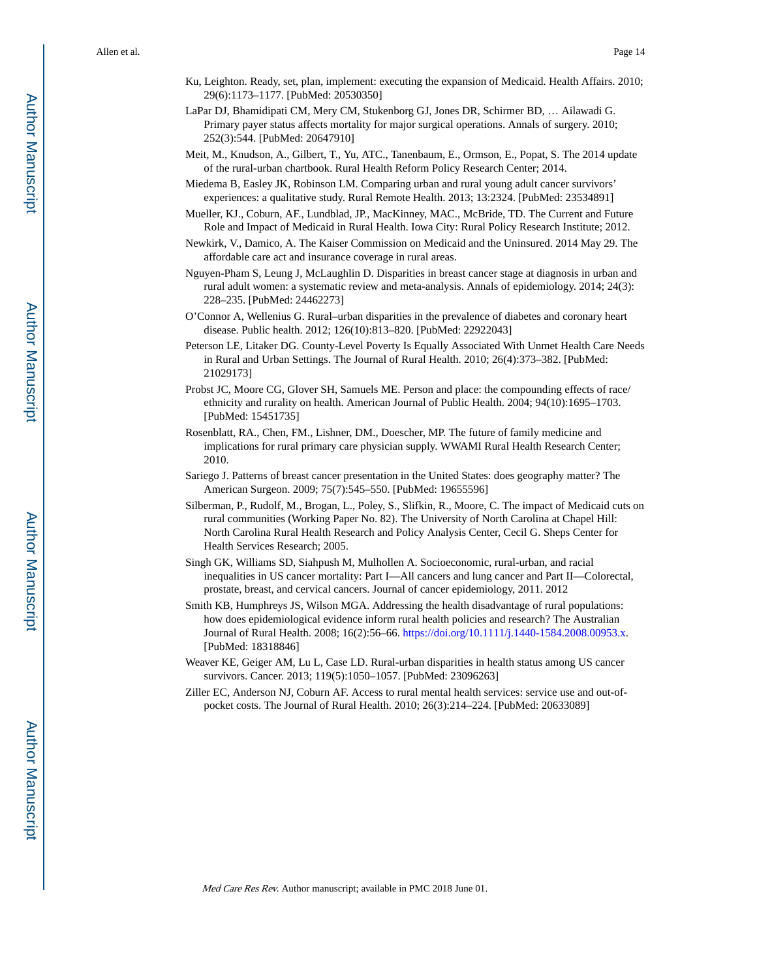- Ku, Leighton. Ready, set, plan, implement: executing the expansion of Medicaid. Health Affairs. 2010; 29(6):1173–1177. [PubMed: 20530350]
- LaPar DJ, Bhamidipati CM, Mery CM, Stukenborg GJ, Jones DR, Schirmer BD, … Ailawadi G. Primary payer status affects mortality for major surgical operations. Annals of surgery. 2010; 252(3):544. [PubMed: 20647910]
- Meit, M., Knudson, A., Gilbert, T., Yu, ATC., Tanenbaum, E., Ormson, E., Popat, S. The 2014 update of the rural-urban chartbook. Rural Health Reform Policy Research Center; 2014.
- Miedema B, Easley JK, Robinson LM. Comparing urban and rural young adult cancer survivors' experiences: a qualitative study. Rural Remote Health. 2013; 13:2324. [PubMed: 23534891]
- Mueller, KJ., Coburn, AF., Lundblad, JP., MacKinney, MAC., McBride, TD. The Current and Future Role and Impact of Medicaid in Rural Health. Iowa City: Rural Policy Research Institute; 2012.
- Newkirk, V., Damico, A. The Kaiser Commission on Medicaid and the Uninsured. 2014 May 29. The affordable care act and insurance coverage in rural areas.
- Nguyen-Pham S, Leung J, McLaughlin D. Disparities in breast cancer stage at diagnosis in urban and rural adult women: a systematic review and meta-analysis. Annals of epidemiology. 2014; 24(3): 228–235. [PubMed: 24462273]
- O'Connor A, Wellenius G. Rural–urban disparities in the prevalence of diabetes and coronary heart disease. Public health. 2012; 126(10):813–820. [PubMed: 22922043]
- Peterson LE, Litaker DG. County-Level Poverty Is Equally Associated With Unmet Health Care Needs in Rural and Urban Settings. The Journal of Rural Health. 2010; 26(4):373–382. [PubMed: 21029173]
- Probst JC, Moore CG, Glover SH, Samuels ME. Person and place: the compounding effects of race/ ethnicity and rurality on health. American Journal of Public Health. 2004; 94(10):1695–1703. [PubMed: 15451735]
- Rosenblatt, RA., Chen, FM., Lishner, DM., Doescher, MP. The future of family medicine and implications for rural primary care physician supply. WWAMI Rural Health Research Center; 2010.
- Sariego J. Patterns of breast cancer presentation in the United States: does geography matter? The American Surgeon. 2009; 75(7):545–550. [PubMed: 19655596]
- Silberman, P., Rudolf, M., Brogan, L., Poley, S., Slifkin, R., Moore, C. The impact of Medicaid cuts on rural communities (Working Paper No. 82). The University of North Carolina at Chapel Hill: North Carolina Rural Health Research and Policy Analysis Center, Cecil G. Sheps Center for Health Services Research; 2005.
- Singh GK, Williams SD, Siahpush M, Mulhollen A. Socioeconomic, rural-urban, and racial inequalities in US cancer mortality: Part I—All cancers and lung cancer and Part II—Colorectal, prostate, breast, and cervical cancers. Journal of cancer epidemiology, 2011. 2012
- Smith KB, Humphreys JS, Wilson MGA. Addressing the health disadvantage of rural populations: how does epidemiological evidence inform rural health policies and research? The Australian Journal of Rural Health. 2008; 16(2):56–66. <https://doi.org/10.1111/j.1440-1584.2008.00953.x>. [PubMed: 18318846]
- Weaver KE, Geiger AM, Lu L, Case LD. Rural-urban disparities in health status among US cancer survivors. Cancer. 2013; 119(5):1050–1057. [PubMed: 23096263]
- Ziller EC, Anderson NJ, Coburn AF. Access to rural mental health services: service use and out-ofpocket costs. The Journal of Rural Health. 2010; 26(3):214–224. [PubMed: 20633089]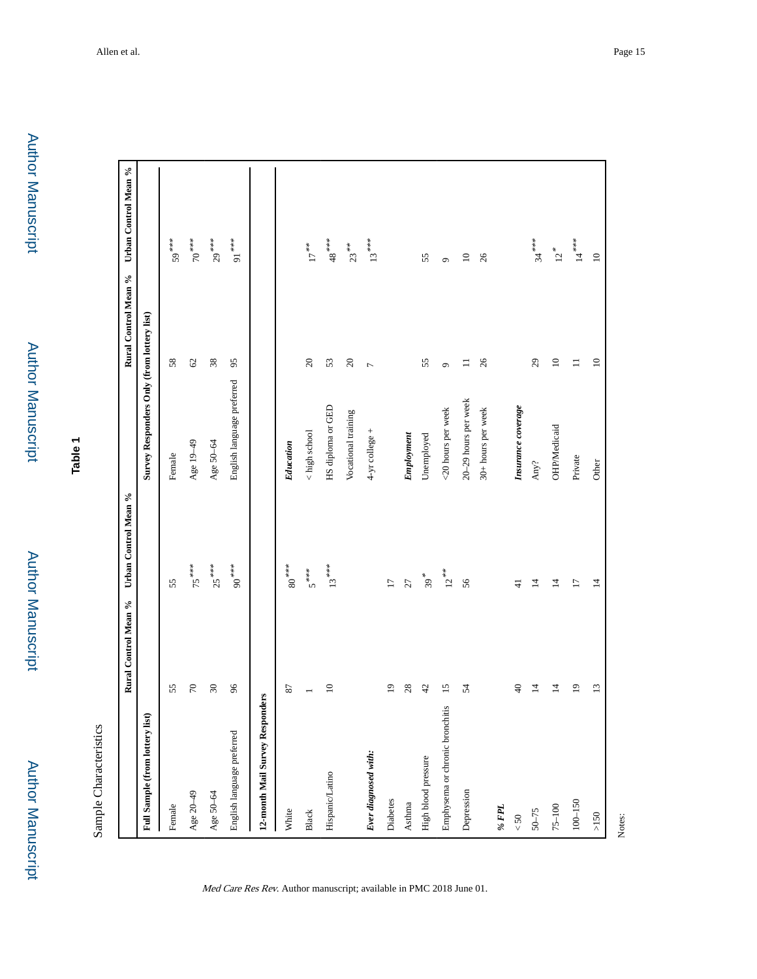Author Manuscript

Author Manuscript

**Table 1**

Sample Characteristics Sample Characteristics

|                                 | Rural Control Mean % | Urban Control Mean % |                                            | Rural Control Mean %                                                               | Urban Control Mean %          |
|---------------------------------|----------------------|----------------------|--------------------------------------------|------------------------------------------------------------------------------------|-------------------------------|
| Full Sample (from lottery list) |                      |                      | Survey Responders Only (from lottery list) |                                                                                    |                               |
| Female                          | 55                   | 55                   | Female                                     | 58                                                                                 | 59***                         |
| Age 20-49                       | $70\,$               | $75***$              | Age 19-49                                  | $\mathcal{C}$                                                                      | $70***$                       |
| Age 50-64                       | $30\,$               | $25***$              | Age 50-64                                  | 38                                                                                 | $29***$                       |
| English language preferred      | 96                   | $***$ 00             | English language preferred                 | 95                                                                                 | $91***$                       |
| 12-month Mail Survey Responders |                      |                      |                                            |                                                                                    |                               |
| White                           | 87                   | $80^{***}$           | Education                                  |                                                                                    |                               |
| ${\bf Black}$                   |                      | $5***$               | < high school                              | $20\,$                                                                             | $17^{***}$                    |
| Hispanic/Latino                 | $\approx$            | $13***$              | HS diploma or GED                          | 53                                                                                 | $^{***}$ 48 $^{\ast\ast\ast}$ |
|                                 |                      |                      | Vocational training                        | $\mathfrak{Q}$                                                                     | $23***$                       |
| Ever diagnosed with:            |                      |                      | $4-yr$ college $+$                         | $\overline{ }$                                                                     | $13\;^{***}$                  |
| Diabetes                        | $\overline{19}$      | $\overline{17}$      |                                            |                                                                                    |                               |
| Asthma                          | 28                   | $\overline{27}$      | Employment                                 |                                                                                    |                               |
| High blood pressure             | 42                   | $39*$                | Unemployed                                 | 55                                                                                 | 55                            |
| Emphysema or chronic bronchitis | $\overline{15}$      | $12^{**}$            | <20 hours per week                         | $\circ$                                                                            | $\circ$                       |
| Depression                      | 54                   | 56                   | 20-29 hours per week                       | $\equiv$                                                                           | $\square$                     |
|                                 |                      |                      | 30+ hours per week                         | 26                                                                                 | 26                            |
| $\%$ FPL                        |                      |                      |                                            |                                                                                    |                               |
| $< 50$                          | $\Theta$             | $\frac{4}{3}$        | Insurance coverage                         |                                                                                    |                               |
| $50 - 75$                       | $\Xi$                | $\overline{4}$       | Any?                                       | 29                                                                                 | $34***$                       |
| $75 - 100$                      | $\Xi$                | $\overline{4}$       | OHP/Medicaid                               | $\ensuremath{\mathop{\boxtimes}\limits^{\mathop{\mathop{\mathrm{max}}\nolimits}}}$ | $12*$                         |
| $100 - 150$                     | $\overline{19}$      | $\overline{17}$      | Private                                    | $\equiv$                                                                           | $14^{***}$                    |
| $>150$                          | 13                   | $\overline{4}$       | Other                                      | $\Xi$                                                                              | $\Xi$                         |
| Notes:                          |                      |                      |                                            |                                                                                    |                               |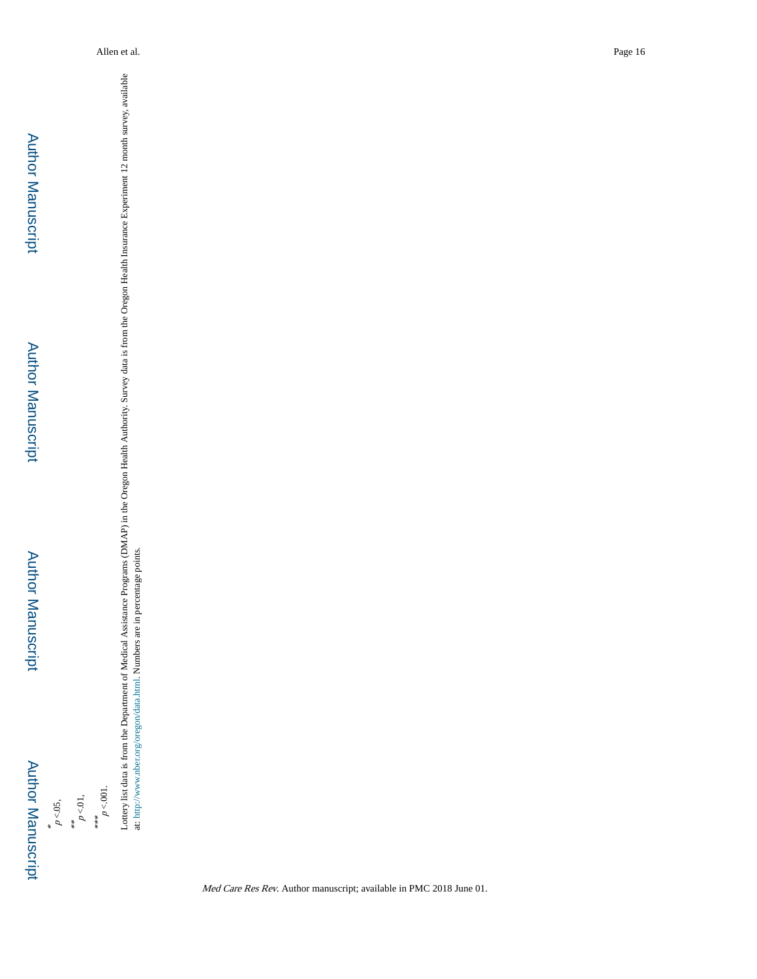\*\*<br> $p < 01$ ,

\*\*\*  $p<.001$ . Lottery list data is from the Department of Medical Assistance Programs (DMAP) in the Oregon Health Authority. Survey data is from the Oregon Health Insurance Experiment 12 month survey, available<br>at: http://www.nber.org/o Lottery list data is from the Department of Medical Assistance Programs (DMAP) in the Oregon Health Authority. Survey data is from the Oregon Health Insurance Experiment 12 month survey, available at: <http://www.nber.org/oregon/data.html>. Numbers are in percentage points.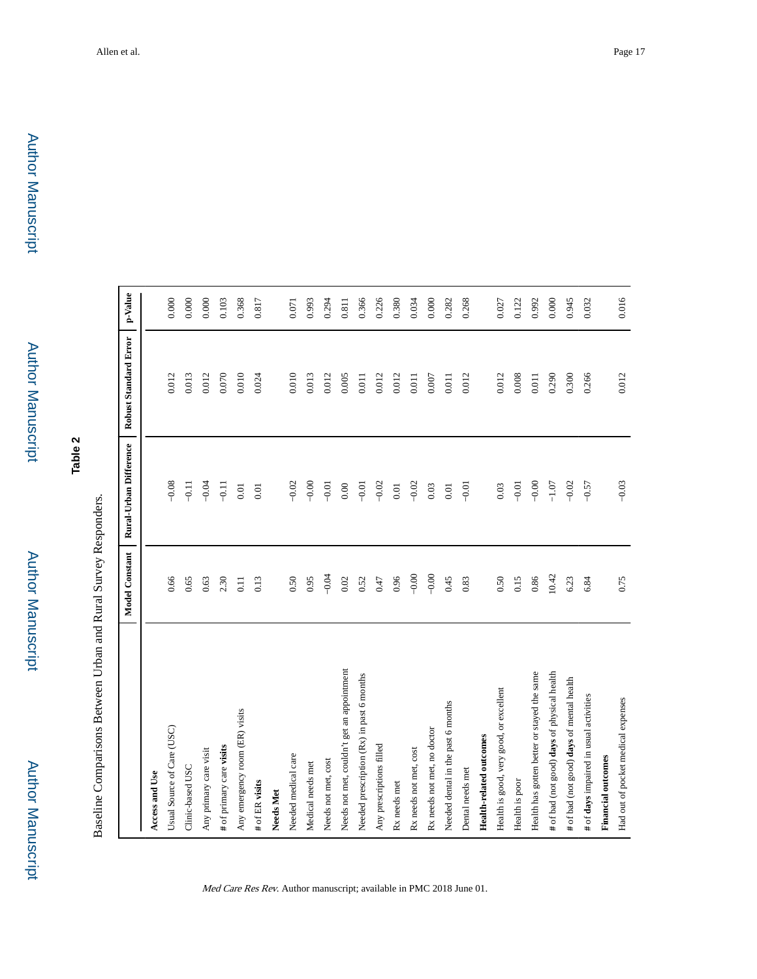**Table 2**

Baseline Comparisons Between Urban and Rural Survey Responders. Baseline Comparisons Between Urban and Rural Survey Responders.

|                                             | Model Constant | Rural-Urban Difference | Robust Standard Error | p-Value |
|---------------------------------------------|----------------|------------------------|-----------------------|---------|
| Access and Use                              |                |                        |                       |         |
| Usual Source of Care (USC)                  | 0.66           | $-0.08$                | 0.012                 | 0.000   |
| Clinic-based USC                            | 0.65           | $-0.11$                | 0.013                 | 0.000   |
| Any primary care visit                      | 0.63           | $-0.04$                | 0.012                 | $0.000$ |
| # of primary care visits                    | 2.30           | $-0.11$                | 0.070                 | 0.103   |
| Any emergency room (ER) visits              | 0.11           | $0.01\,$               | 0.010                 | 0.368   |
| # of ER visits                              | 0.13           | $0.01$                 | 0.024                 | 0.817   |
| Needs Met                                   |                |                        |                       |         |
| Needed medical care                         | 0.50           | $-0.02$                | 0.010                 | 0.071   |
| Medical needs met                           | 0.95           | $-0.00$                | 0.013                 | 0.993   |
| Needs not met, cost                         | $-0.04$        | $-0.01$                | 0.012                 | 0.294   |
| Needs not met, couldn't get an appointment  | 0.02           | $0.00\,$               | 0.005                 | 0.811   |
| Needed prescription (Rx) in past 6 months   | 0.52           | $-0.01$                | 0.011                 | 0.366   |
| Any prescriptions filled                    | 0.47           | $-0.02$                | 0.012                 | 0.226   |
| Rx needs met                                | 0.96           | $0.01\,$               | 0.012                 | 0.380   |
| Rx needs not met, cost                      | $-0.00$        | $-0.02$                | 0.011                 | 0.034   |
| Rx needs not met, no doctor                 | $-0.00$        | 0.03                   | $0.007$               | $0.000$ |
| Needed dental in the past 6 months          | 0.45           | $0.01\,$               | 0.011                 | 0.282   |
| Dental needs met                            | 0.83           | $-0.01$                | 0.012                 | 0.268   |
| <b>Health-related outcomes</b>              |                |                        |                       |         |
| Health is good, very good, or excellent     | 0.50           | 0.03                   | 0.012                 | 0.027   |
| Health is poor                              | 0.15           | $-0.01$                | $\,0.008$             | 0.122   |
| Health has gotten better or stayed the same | 0.86           | $-0.00$                | 0.011                 | 0.992   |
| # of bad (not good) days of physical health | 10.42          | $-1.07$                | 0.290                 | $0.000$ |
| # of bad (not good) days of mental health   | 6.23           | $-0.02$                | 0.300                 | 0.945   |
| # of days impaired in usual activities      | 6.84           | $-0.57$                | 0.266                 | 0.032   |
| <b>Financial outcomes</b>                   |                |                        |                       |         |
| Had out of pocket medical expenses          | 0.75           | $-0.03$                | 0.012                 | 0.016   |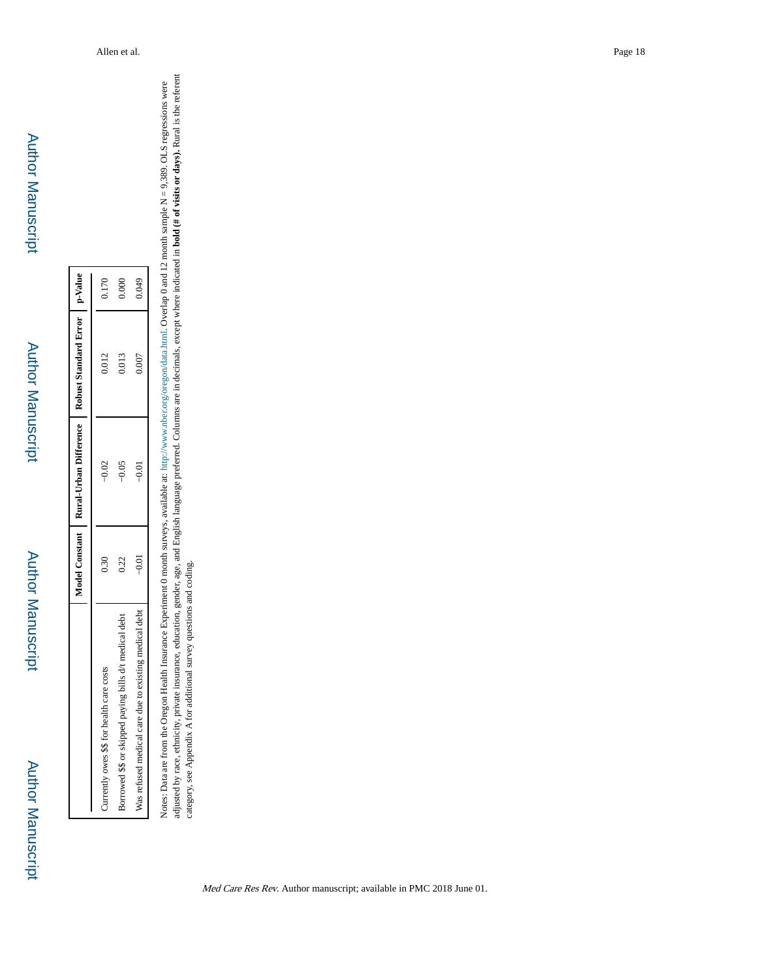Author Manuscript Author Manuscript

Author Manuscript

Author Manuscript

|                                                        |                   |         | Model Constant   Rural-Urban Difference   Robust Standard Error   p-Value |       |
|--------------------------------------------------------|-------------------|---------|---------------------------------------------------------------------------|-------|
| Currently owes \$\$ for health care costs              | $0.\overline{3}0$ | $-0.02$ | 0.012                                                                     | 0.170 |
| Borrowed \$\$ or skipped paying bills d/t medical debt | 0.22              | $-0.05$ | 0.013                                                                     | 000(  |
| Was retused medical care due to existing medical debt  | $-0.01$           | ี<br>วิ | 0.007                                                                     | 0.049 |

adjusted by race, ethnicity, private insurance, education, gender, age, and English language preferred. Columns are in decimals, except where indicated in **bold (# of visits or days).** Rural is the referent adjusted by race, ethnicity, private insurance, education, gender, age, and English language preferred. Columns are in decimals, except where indicated in **bold (# of visits or days).** Rural is the referent category, see Notes: Data are from the Oregon Health Insurance Experiment 0 month surveys, available at:  $\text{http://www.nber.org/or.com/data.html}$ . Overlap 0 and 12 month sample N = 9.389. OLS regressions were Notes: Data are from the Oregon Health Insurance Experiment 0 month surveys, available at: <http://www.nber.org/oregon/data.html>. Overlap 0 and 12 month sample N = 9,389. OLS regressions were category, see Appendix A for additional survey questions and coding.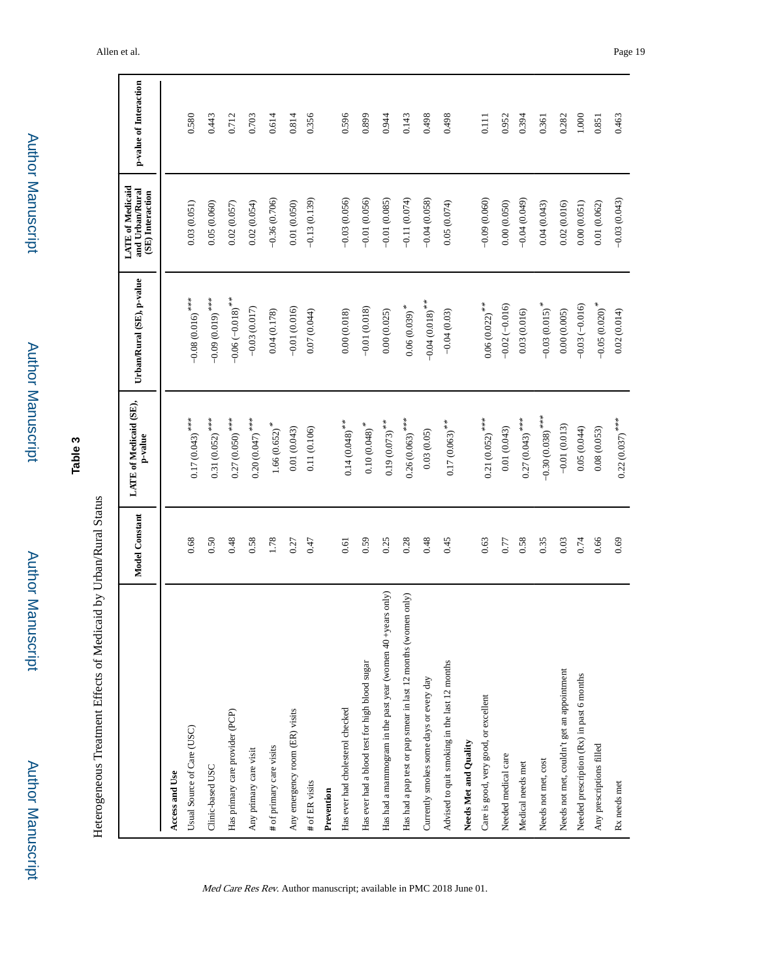Author Manuscript**Author Manuscript** 

Author Manuscript

**Author Manuscript** 

# **Table 3**

Heterogeneous Treatment Effects of Medicaid by Urban/Rural Status Heterogeneous Treatment Effects of Medicaid by Urban/Rural Status

|                                                                | <b>Model Constant</b> | LATE of Medicaid (SE),<br>p-value | Urban/Rural (SE), p-value   | <b>LATE of Medicaid</b><br>and Urban/Rural<br>(SE) Interaction | p-value of Interaction |
|----------------------------------------------------------------|-----------------------|-----------------------------------|-----------------------------|----------------------------------------------------------------|------------------------|
| Access and Use                                                 |                       |                                   |                             |                                                                |                        |
| Usual Source of Care (USC)                                     | 0.68                  | $0.17(0.043)$ ***                 | $-0.08(0.016)$ ***          | 0.03(0.051)                                                    | 0.580                  |
| Clinic-based USC                                               | 0.50                  | $0.31(0.052)$ ***                 | $-0.09(0.019)$ ***          | 0.05(0.060)                                                    | 0.443                  |
| Has primary care provider (PCP)                                | 0.48                  | $0.27(0.050)$ ***                 | $-0.06 (-0.018)$ **         | 0.02(0.057)                                                    | 0.712                  |
| Any primary care visit                                         | 0.58                  | $0.20(0.047)$ ***                 | $-0.03(0.017)$              | 0.02(0.054)                                                    | 0.703                  |
| # of primary care visits                                       | 1.78                  | $1.66(0.652)$ <sup>*</sup>        | 0.04(0.178)                 | $-0.36(0.706)$                                                 | 0.614                  |
| Any emergency room (ER) visits                                 | 0.27                  | 0.01(0.043)                       | $-0.01(0.016)$              | 0.01(0.050)                                                    | 0.814                  |
| # of ER visits                                                 | 0.47                  | 0.11(0.106)                       | 0.07(0.044)                 | $-0.13(0.139)$                                                 | 0.356                  |
| Prevention                                                     |                       |                                   |                             |                                                                |                        |
| Has ever had cholesterol checked                               | 0.61                  | $0.14\,(0.048)$ **                | 0.00(0.018)                 | $-0.03(0.056)$                                                 | 0.596                  |
| Has ever had a blood test for high blood sugar                 | 0.59                  | $0.10\left( 0.048\right) ^{\ast}$ | $-0.01(0.018)$              | $-0.01(0.056)$                                                 | 0.899                  |
| Has had a mammogram in the past year (women 40 +years only)    | 0.25                  | $0.19(0.073)$ **                  | 0.00(0.025)                 | $-0.01(0.085)$                                                 | 0.944                  |
| Has had a pap test or pap smear in last 12 months (women only) | 0.28                  | $0.26(0.063)$ ***                 | $0.06(0.039)$ <sup>*</sup>  | $-0.11(0.074)$                                                 | 0.143                  |
| Currently smokes some days or every day                        | 0.48                  | 0.03(0.05)                        | $-0.04(0.018)$ **           | $-0.04(0.058)$                                                 | 0.498                  |
| Advised to quit smoking in the last 12 months                  | 0.45                  | $0.17(0.063)$ **                  | $-0.04(0.03)$               | 0.05(0.074)                                                    | 0.498                  |
| Needs Met and Quality                                          |                       |                                   |                             |                                                                |                        |
| Care is good, very good, or excellent                          | 0.63                  | $0.21(0.052)$ ***                 | $0.06(0.022)$ **            | $-0.09(0.060)$                                                 | 0.111                  |
| Needed medical care                                            | 0.77                  | 0.01(0.043)                       | $-0.02(-0.016)$             | 0.00(0.050)                                                    | 0.952                  |
| Medical needs met                                              | 0.58                  | $0.27(0.043)$ ***                 | 0.03(0.016)                 | $-0.04(0.049)$                                                 | 0.394                  |
| Needs not met, cost                                            | 0.35                  | $-0.30(0.038)$ ***                | $-0.03(0.015)$ <sup>*</sup> | 0.04(0.043)                                                    | 0.361                  |
| Needs not met, couldn't get an appointment                     | 0.03                  | $-0.01(0.013)$                    | 0.00(0.005)                 | 0.02(0.016)                                                    | 0.282                  |
| Needed prescription (Rx) in past 6 months                      | 0.74                  | 0.05(0.044)                       | $-0.03(-0.016)$             | 0.00(0.051)                                                    | 1.000                  |
| Any prescriptions filled                                       | 0.66                  | 0.08(0.053)                       | $-0.05(0.020)$ *            | 0.01(0.062)                                                    | 0.851                  |
| Rx needs met                                                   | 0.69                  | $0.22(0.037)$ ***                 | 0.02(0.014)                 | $-0.03(0.043)$                                                 | 0.463                  |